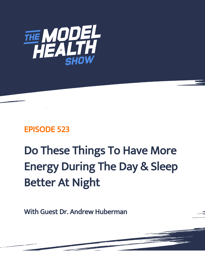

## EPISODE 523

# Do These Things To Have More Energy During The Day & Sleep Better At Night

With Guest Dr. Andrew Huberman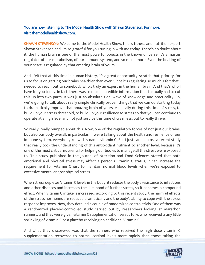### You are now listening to The Model Health Show with Shawn Stevenson. For more, visit themodelhealthshow.com.

**SHAWN STEVENSON:** Welcome to the Model Health Show, this is fitness and nutrition expert Shawn Stevenson and I'm so grateful for you tuning in with me today. There's no doubt about it, the human brain is one of the most powerful objects in the known universe; it's a master regulator of our metabolism, of our immune system, and so much more. Even the beating of your heart is regulated by that amazing brain of yours.

And I felt that at this time in human history, it's a great opportunity, scratch that, priority, for us to focus on getting our brains healthier than ever. Since it's regulating so much, I felt that I needed to reach out to somebody who's truly an expert in the human brain. And that's who I have for you today. In fact, there was so much incredible information that I actually had to cut this up into two parts. It was just an absolute tidal wave of knowledge and practicality. So, we're going to talk about really simple clinically proven things that we can do starting today to dramatically improve that amazing brain of yours, especially during this time of stress, to build up your stress threshold, to build up your resiliency to stress so that you can continue to operate at a high level and not just survive this time of craziness, but to really thrive.

So really, really pumped about this. Now, one of the regulatory forces of not just our brains, but also our body overall, in particular, if we're talking about the health and resilience of our immune system, everybody knows his name, vitamin C. But I just came across a recent study that really took the understanding of this antioxidant nutrient to another level, because it's one of the most critical nutrients for helping our bodies to manage all the stress we're exposed to. This study published in the Journal of Nutrition and Food Sciences stated that both emotional and physical stress may affect a person's vitamin C status; it can increase the requirement for Vitamin C just to maintain normal blood levels when we're exposed to excessive mental and/or physical stress.

When stress depletes Vitamin C levels in the body, it reduces the body's resistance to infections and other diseases and increases the likelihood of further stress, so it becomes a compound effect. When vitamin C intake is increased, according to this recent study, the harmful effects of the stress hormones are reduced dramatically and the body's ability to cope with the stress response improves. Now, they detailed a couple of randomized control trials. One of them was a randomized placebo-controlled study carried out by researchers looking at marathon runners, and they were given vitamin C supplementation versus folks who received a tiny little sprinkling of vitamin C or a placebo receiving no additional Vitamin C.

And what they discovered was that the runners who received the high dose vitamin C [supplementation recovered to normal cortisol levels more rapidly than those taking the](https://themodelhealthshow.com/dr-andrew-huberman/) 

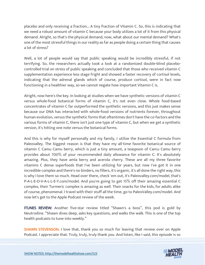placebo and only receiving a fraction... A tiny fraction of Vitamin C. So, this is indicating that we need a robust amount of vitamin C because your body utilizes a lot of it from this physical demand. Alright, so that's the physical demand, now, what about our mental demand? What's one of the most stressful things in our reality as far as people doing a certain thing that causes a lot of stress?

Well, a lot of people would say that public speaking would be incredibly stressful, if not terrifying. So, the researchers actually took a look at a randomized double-blind placebocontrolled trial on stress of public speaking and concluded that those who received vitamin C supplementation experience less stage fright and showed a faster recovery of cortisol levels, indicating that the adrenal glands which of course, produce cortisol, were in fact now functioning in a healthier way, so we cannot negate how important Vitamin C is.

Alright, now here's the key. In looking at studies when we have synthetic versions of vitamin C versus whole-food botanical forms of vitamin C, it's not even close. Whole food-based concentrates of vitamin C far outperformed the synthetic versions, and this just makes sense because our DNA has interacted with whole-food versions of nutrients forever, throughout human evolution, versus the synthetic forms that oftentimes don't have the co-factors and the various forms of vitamin C, there isn't just one type of vitamin C, but when we get a synthetic version, it's hitting one note versus the botanical forms.

And this is why for myself personally and my family, I utilize the Essential C formula from Paleovalley. The biggest reason is that they have my all-time favorite botanical source of vitamin C Camu Camu berry, which is just a tiny amount, a teaspoon of Camu Camu berry provides about 700% of your recommended daily allowance for vitamin C. It's absolutely amazing. Plus, they have amla berry and acerola cherry. These are all my three favorite vitamins C dense superfoods that I've been utilizing for years, but now I've got it in one incredible complex and there's no binders, no fillers, it's organic, it's all done the right way, this is why I love them so much. Head over there, check 'em out, it's Paleovalley.com/model, that's P-A-L-E-O-V-A-L-L-E-Y.com/model. And you're going to get 15% off their amazing essential C complex, their Turmeric complex is amazing as well. Their snacks for the kids, for adults alike of course, phenomenal. I travel with their stuff all the time, go to PaleoValley.com/model. And now let's get to the Apple Podcast review of the week.

ITUNES REVIEW: Another five-star review titled "Shawn's a boss", this pod is gold by Neutrodine. "Shawn dives deep, asks key questions, and walks the walk. This is one of the top health podcasts to tune into weekly."

**SHAWN STEVENSON: I love that, thank you so much for leaving that review over on Apple** Podcast. I appreciate that. Truly, truly, truly thank you. And listen, like I said, this episode is so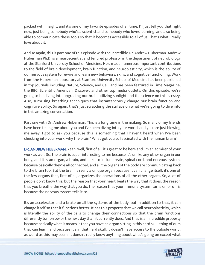packed with insight, and it's one of my favorite episodes of all time, I'll just tell you that right now, just being somebody who's a scientist and somebody who loves learning, and also being able to communicate these tools so that it becomes accessible to all of us. That's what I really love about it.

And so again, this is part one of this episode with the incredible Dr. Andrew Huberman. Andrew Huberman Ph.D. is a neuroscientist and tenured professor in the department of neurobiology at the Stanford University School of Medicine. He's made numerous important contributions to the field of brain development, brain function, and neuroplasticity, which is the ability of our nervous system to rewire and learn new behaviors, skills, and cognitive functioning. Work from the Huberman laboratory at Stanford University School of Medicine has been published in top journals including Nature, Science, and Cell, and has been featured in Time Magazine, the BBC, Scientific American, Discover, and other top media outlets. On this episode, we're going to be diving into upgrading our brain utilizing sunlight and the science on this is crazy. Also, surprising breathing techniques that instantaneously change our brain function and cognitive ability. So again, that's just scratching the surface on what we're going to dive into in this amazing conversation.

Part one with Dr. Andrew Huberman. This is a long time in the making. So many of my friends have been telling me about you and I've been diving into your world, and you are just blowing me away. I got to ask you because this is something that I haven't heard when I've been checking into your work, why the brain? What got you so fascinated with the human brain?

DR. ANDREW HUBERMAN: Yeah, well, first of all, it's great to be here and I'm an admirer of your work as well. So, the brain is super interesting to me because it's unlike any other organ in our body, and it is an organ, a brain, and I like to include brain, spinal cord, and nervous system, because basically they're all connected, and all the organs of the body are communicating back to the brain too. But the brain is really a unique organ because it can change itself, it's one of the few organs that, first of all, organizes the operations of all the other organs. So, a lot of people don't know this, but the reason that your heart beats the way that it does, the reason that you breathe the way that you do, the reason that your immune system turns on or off is because the nervous system tells it to.

It's an accelerator and a brake on all the systems of the body, but in addition to that, it can change itself so that it functions better. It has this property that we call neuroplasticity, which is literally the ability of the cells to change their connections so that the brain functions differently tomorrow or the next day than it currently does. And that is an incredible property because basically what it means is that you have an organ sitting in this hard skull thing of ours that can learn, and because it's in that hard skull, it doesn't have access to the outside world, as weird as this may seem, it doesn't really know anything about what's going on except what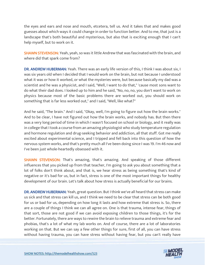the eyes and ears and nose and mouth, etcetera, tell us. And it takes that and makes good guesses about which ways it could change in order to function better. And to me, that just is a landscape that's both beautiful and mysterious, but also that is exciting enough that I can't help myself, but to work on it.

**SHAWN STEVENSON:** Yeah, yeah, so was it little Andrew that was fascinated with the brain, and where did that spark come from?

DR. ANDREW HUBERMAN: Yeah. There was an early life version of this, I think I was about six, I was six years old when I decided that I would work on the brain, but not because I understood what it was or how it worked, or what the mysteries were, but because basically my dad was a scientist and he was a physicist, and I said, "Well, I want to do that," 'cause most sons want to do what their dad does. I looked up to him and he said, "No, no, no, you don't want to work on physics because most of the basic problems there are worked out, you should work on something that is far less worked out," and I said, "Well, like what?"

And he said, "The brain." And I said, "Okay, well, I'm going to figure out how the brain works." And to be clear, I have not figured out how the brain works, and nobody has. But then there was a very long period of time in which I wasn't focused on school or biology, and it really was in college that I took a course from an amazing physiologist who study temperature regulation and hormone regulation and drug-seeking behavior and addiction, all that stuff. Got me really excited about experimental science, and I tripped and fell back into this question of how the nervous system works, and that's pretty much all I've been doing since I was 19. I'm 46 now and I've been just whole-heartedly obsessed with it.

SHAWN STEVENSON: That's amazing, that's amazing. And speaking of those different influences that you picked up from that teacher, I'm going to ask you about something that a lot of folks don't think about, and that is, we hear stress as being something that's kind of negative or it's bad for us, but in fact, stress is one of the most important things for healthy development of our brain. Let's talk about how stress is actually beneficial for our brains.

DR. ANDREW HUBERMAN: Yeah, great question. But I think we've all heard that stress can make us sick and that stress can kill us, and I think we need to be clear that stress can be both good for us or bad for us, depending on how long it lasts and how extreme that stress is. So, there are a couple of things I think we can all agree on. One is that trauma, intense fear, things of that sort, those are not good if we can avoid exposing children to those things, it's for the better. Fortunately, there are ways to rewire the brain to relieve trauma and extreme fear and phobias, that's a lot of what my lab works on. And of course, there are a lot of laboratories working on that. But we can say a few other things for sure, first of all, you can have stress without having trauma, you can have stress without having fear, but you can't really have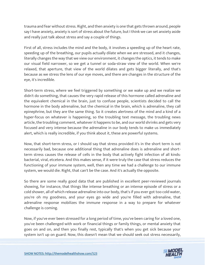trauma and fear without stress. Right, and then anxiety is one that gets thrown around, people say I have anxiety, anxiety is sort of stress about the future, but I think we can set anxiety aside and really just talk about stress and say a couple of things.

First of all, stress includes the mind and the body, it involves a speeding up of the heart rate, speeding up of the breathing, our pupils actually dilate when we are stressed, and it changes, literally changes the way that we view our environment, it changes the optics, it tends to make our visual field narrower, so we get a tunnel or soda-straw view of the world. When we're relaxed, that aperture, that view of the world dilates and gets bigger literally, and that's because as we stress the lens of our eye moves, and there are changes in the structure of the eye, it's incredible.

Short-term stress, where we feel triggered by something or we wake up and we realize we didn't do something, that causes the very rapid release of this hormone called adrenaline and the equivalent chemical in the brain, just to confuse people, scientists decided to call the hormone in the body adrenaline, but the chemical in the brain, which is adrenaline, they call epinephrine, but they are the same thing. So it creates alertness of the mind and a kind of a hyper-focus on whatever is happening, so the troubling text message, the troubling news article, the troubling comment, whatever it happens to be, and our world shrinks and gets very focused and very intense because the adrenaline in our body tends to make us immediately alert, which is really incredible, if you think about it, these are powerful systems.

Now, that short-term stress, or I should say that stress provided it's in the short term is not necessarily bad, because one additional thing that adrenaline does is adrenaline and shortterm stress causes the release of cells in the body that actively fight infection of all kinds: bacterial, viral, etcetera. And this makes sense, if it were truly the case that stress reduces the functioning of your immune system, well, then any time we had a challenge to our immune system, we would die. Right, that can't be the case. And it's actually the opposite.

So there are some really good data that are published in excellent peer-reviewed journals showing, for instance, that things like intense breathing or an intense episode of stress or a cold shower, all of which release adrenaline into our body, that's if you ever got too cold water, you're oh my goodness, and your eyes go wide and you're filled with adrenaline, that adrenaline response mobilizes the immune response in a way to prepare for whatever challenge is coming.

Now, if you've ever been stressed for a long period of time, you've been caring for a loved one, you've been challenged with work or financial things or family things, or mental anxiety that goes on and on, and then you finally rest, typically that's when you get sick because your system isn't up on guard. Now, this doesn't mean that we should seek out stress necessarily,

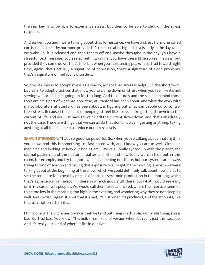the real key is to be able to experience stress, but then to be able to shut off the stress response.

And earlier, you and I were talking about this, for instance, we have a stress hormone called cortisol, it is a healthy hormone provided it's released at its highest levels early in the day when we wake up, it is released and then tapers off and maybe throughout the day, you have a stressful text message, you see something online, you have these little spikes in stress, but provided they come down, that's fine, but when you start seeing peaks in cortisol toward night time, again, that's actually a signature of depression, that's a signature of sleep problems, that's a signature of metabolic disorders.

So, the real key is to accept stress as a reality, accept that stress is helpful in the short term, but learn to adopt practices that allow you to clamp down on stress when you feel like it's not serving you or it's been going on for too long. And those tools and the science behind those tools are a big part of what my laboratory at Stanford has been about, and what the work with my collaborators at Stanford has been about, is figuring out what can people do to control their stress. Because I think a lot of people just feel like stress is like getting thrown into the current of life, and you just have to wait until the current slows down, and that's absolutely not the case. There are things that we can all do that don't involve ingesting anything, taking anything at all that can help us reduce our stress levels.

SHAWN STEVENSON: That's so good, so powerful. So, when you're talking about that rhythm, you know, and this is something I'm fascinated with, and I know you are as well. Circadian medicine and looking at how our bodies are... We've all really synced up with the planet, the diurnal patterns, and the nocturnal patterns of life, and now today we can hide out in this room, for example, and try to ignore what's happening out there, but our systems are always trying to kind of sync up and having that exposure to sunlight in the morning is, which we were talking about at the beginning of the show, which we could definitely talk about now, helps to set the template for a healthy release of cortisol, serotonin production in the morning, which that's a precursor for melatonin, there's so much good stuff there, but what I would see early on in my career was people... We would call them tired and wired, where their cortisol seemed to be too low in the morning, too high in the evening, and wondering why they're not sleeping well. And cortisol, again, it's not that it's bad, it's just when it's produced, and the amounts, like that association I think it's...

I think one of the big issues today is that we tend put things in this black or white thing, stress bad. Cortisol bad. You know? This hulk smash kind of version when it's really just this cascade. And it's really just kind of where it fits in our lives.

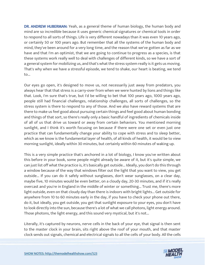DR. ANDREW HUBERMAN: Yeah, as a general theme of human biology, the human body and mind are so incredible because it uses generic chemical signatures or chemical tools in order to respond to all sorts of things. Life is very different nowadays than it was even 10 years ago, or certainly 50 or 100 years ago. But remember that all the systems of the human body and mind, they've been around for a very long time, and the reason that we've gotten as far as we have and that I'm an optimist, that we are going to continue to progress as a species, is that these systems work really well to deal with challenges of different kinds, so we have a sort of a general system for mobilizing us, and that's what the stress system really is it gets us moving. That's why when we have a stressful episode, we tend to shake, our heart is beating, we tend to...

Our eyes go open, it's designed to move us, not necessarily just away from predators, you always hear that that stress is a carry-over from when we were hunted by lions and things like that. Look, I'm sure that's true, but I'd be willing to bet that 100 years ago, 1000 years ago, people still had financial challenges, relationship challenges, all sorts of challenges, so the stress system is there to respond to any of those. And we also have reward systems that are there to make us feel good about pursuing certain things and feel good about human bonding and things of that sort, so there's really only a basic handful of ingredients of chemicals inside of all of us that drive us toward or away from certain behaviors. You mentioned morning sunlight, and I think it's worth focusing on because if there were one set or even just one practice that can fundamentally change your ability to cope with stress and to sleep better, which as we know is the fundamental layer of health, of all kinds of health, it would be to view morning sunlight, ideally within 30 minutes, but certainly within 60 minutes of waking up.

This is a very simple practice that's anchored in a lot of biology, I know you've written about this before in your book, some people might already be aware of it, but it's quite simple, we can just list off what the practice is, it's basically get outside... Ideally, you don't do this through a window because of the way that windows filter out the light that you want to view, you get outside... If you can do it safely without sunglasses, don't wear sunglasses, on a clear day, maybe five, 10 minutes would be even better, on a cloudy day, 20-30 minutes, and if it's really overcast and you're in England in the middle of winter or something... Trust me, there's more light outside, even on that cloudy day than there is indoors with bright lights... Get outside for anywhere from 10 to 60 minutes early in the day, if you have to check your phone out there, do it, but ideally, you get outside, you get that sunlight exposure to your eyes, you don't have to look directly into the sun, because there's a lot of what we call photons, light energy around. Those photons, the light energy, and this sound very mystical, but it's not...

Literally, it's captured by neurons, nerve cells in the back of your eye, that signal is then sent to the master clock in your brain, sits right above the roof of your mouth, and that master clock sends out signals, chemical and electrical signals to all the cells of your body. All the cells

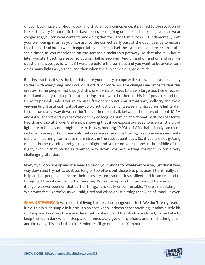of your body have a 24-hour clock, and that is not a coincidence, it's timed to the rotation of the earth every 24 hours. So that basic behavior of going outside each morning, you can wear eyeglasses, you can wear contacts, and doing that for 10 to 60 minutes will fundamentally shift your well-being, it times your cortisol to the correct early part of the day, it tends to ensure that the cortisol bump won't happen later, so it can offset the symptoms of depression. It also set a timer, as you mentioned on the serotonin melatonin pathway, so that about 16 hours later you start getting sleepy, so you can fall asleep well. And on and on and on and on. The question I always get is, what if I wake up before the sun rises and you want to be awake, turn on as many lights as you can, and then when the sun comes out, go outside.

But this practice, it sets the foundation for your ability to cope with stress, it sets your capacity to deal with everything, and I could list off 20 or more positive changes and impacts that this creates. Some people find that just this one behavior leads to a very large positive effect on mood and ability to sleep. The other thing that I would tether to this is, if possible, and I do think it's possible unless you're doing shift work or something of that sort, really try and avoid viewing bright artificial lights of any color, not just blue light; screen lights, at home lights, dim those down, way, way down, or don't have them on at all, between the hours of about 10 PM and 4 AM. There's a study that was done by colleagues of mine at National Institutes of Mental Health and also at Brown University, showing that if we expose our eyes to even a little bit of light late in the day or at night, late in the day, meeting 10 PM to 4 AM, that actually can cause reductions in important chemicals that create a sense of well-being, like dopamine can create deficits in learning, can create more stress in the subsequent days. So, if you are not getting outside in the morning and getting sunlight and you're on your phone in the middle of the night, even if that phone is dimmed way down, you are setting yourself up for a very challenging situation.

Now, if you do wake up and you need to be on your phone for whatever reason, just dim it way, way down and try not to do it too long or too often, but those two practices, I think really can help anchor people and anchor their stress system, so that it's resilient and it can respond to things, but then it can turn off, otherwise, it's like being on a bumpy ride out to ocean, which if anyone's ever been on that sort of thing... It is really uncomfortable. There's no settling in. We always feel like we're, as you said, tired and wired or little things can kind of knock us over.

**SHAWN STEVENSON:** We're kind of living this residual hangover effect. We don't really realize it. So, this is such simple in it, this is a no cost. Yeah, it doesn't cost anything. It takes a little bit of discipline, I confess there are days that I wake up and the blinds are closed, 'cause I like to keep the room dark when I sleep and I immediately get on my phone, and I'm checking email and I'm doing this, and I think in 15 minutes I'll go outside, in 20 minutes...

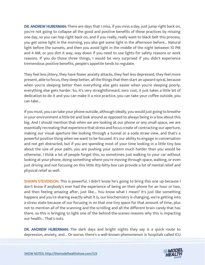DR. ANDREW HUBERMAN: There are days that I miss, if you miss a day, just jump right back on, you're not going to collapse all the good and positive benefits of these practices by missing one day, so you can hop right back on, and if you really, really want to black belt this process, you get some light in the morning, you also get some light in the afternoon before... Natural light before the sunsets, and then you avoid light in the middle of the night between 10 PM and 4 AM, or you dim it way, way down if you need to use lights for safety reasons or work reasons. If you do those three things, I would be very surprised if you didn't experience tremendous positive benefits, people's appetite tends to regulate.

They feel less jittery, they have fewer anxiety attacks, they feel less depressed, they feel more present, able to focus, they sleep better, all the things that then start an upward spiral, because when you're sleeping better then everything else gets easier when you're sleeping poorly, everything else gets harder. So, it's very straightforward, zero cost, it just takes a little bit of dedication to do it and you can make it a nice practice, you can take your coffee outside, you can take...

If you must, you can take your phone outside, although ideally, you would just going to breathe in your environment a little bit and look around as opposed to always being in a box about this big. And I should mention that when we are looking at our phone or any small space, we are essentially recreating that experience that stress and focus create of contracting our aperture, making our visual aperture like looking through a tunnel or a soda straw view, and that's a powerful positive thing when we want to be focused. It's our ability to engage in conversation and not get distracted, but if you are spending most of your time looking in a little tiny box about the size of your palm, you are pushing your system much harder than you would be otherwise. I think a lot of people forget this, so sometimes just walking to your car without looking at your phone, doing something where you're moving through space, walking, or even just driving and not focusing on this little itty-bitty box can provide a lot of mental relief and physical relief as well.

**SHAWN STEVENSON:** This is powerful. I didn't know he's going to bring this one up because I don't know if anybody's ever had the experience of being on their phone for an hour or two, and then feeling amazing after, just like... You know what I mean? It's just like something happens and you're sharing exactly what it is, our biochemistry is changing, we're getting into a stress state because of our focusing in on that one tiny space for that amount of time, plus not to mention all of the scanning and the scrolling and all the different brain candy that has there, so this is bringing to light one of the behind-the-scenes reasons why this is impacting our health... That's nuts.

DR. ANDREW HUBERMAN: The dark days and bright nights they say is a quick route to depression, anxiety, and... Or worse, there's a well-known phenomenon in hospitals called ICU

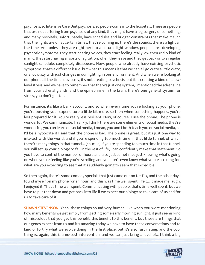psychosis, so Intensive Care Unit psychosis, so people come into the hospital... These are people that are not suffering from psychosis of any kind, they might have a leg surgery or something, and many hospitals, unfortunately, have schedules and budget constraints that make it such that the lights are on at certain times, they're coming in, there's the sounds, there's a light all the time. And unless they are right next to a natural light window, people start developing psychotic symptoms, they start hearing voices, they start feeling really low then really kind of manic, they start having all sorts of agitation, when they leave and they get back onto a regular sunlight schedule, completely disappears. Now, people who already have existing psychotic symptoms, that's a different issue, but what this means is that we can all go crazy a little crazy, or a lot crazy with just changes in our lighting in our environment. And when we're looking at our phone all the time, obviously, it's not creating psychosis, but it is creating a kind of a lowlevel stress, and we have to remember that there's just one system, I mentioned the adrenaline from your adrenal glands, and the epinephrine in the brain, there's one general system for stress, you don't get to...

For instance, it's like a bank account, and so when every time you're looking at your phone, you're pushing your expenditure a little bit more, so then when something happens, you're less prepared for it. You're really less resilient. Now, of course, I use the phone. The phone is wonderful. We communicate. I frankly, I think there are some elements of social media, they're wonderful, you can learn on social media, I mean, you and I both teach you on social media, so I'd be a hypocrite if I said that the phone is bad. The phone is great, but it's just one way to interact with the world, and if you're spending too much time in that little tunnel, of which there're many things in that tunnel... [chuckle] If you're spending too much time in that tunnel, you will set up your biology to fail in the rest of life, I can confidently make that statement. So you have to control the number of hours and also just sometimes just knowing what's going on when you're feeling like you're scrolling and you don't even know what you're scrolling for, what are you expecting to see that it's suddenly going to seem that incredible.

So then again, there's some comedy specials that just came out on Netflix, and the other day I found myself on my phone for an hour, and this was time well spent, I felt... It made me laugh, I enjoyed it. That's time well spent. Communicating with people, that's time well spent, but we have to put that down and get back into life if we expect our biology to take care of us and for us to take care of it.

**SHAWN STEVENSON:** Yeah, these things sound very human, like when you were mentioning how many benefits we get simply from getting some early morning sunlight, it just seems kind of miraculous that you get this benefit, this benefit to this benefit, but these are things that our genes expect from us and it's amazing today we have to have these conversations and to kind of fortify what we evolve doing in the first place, but it's also fascinating, and the cool thing is, again, this is a no-cost intervention, and we can just bring a level of... I think a big

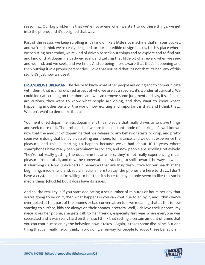reason is... Our big problem is that we're not aware when we start to do these things, we get into the phone, and it's designed that way.

Part of the reason we keep scrolling is it's kind of like a little slot machine that's in our pocket, and we're... I think we're really designed, or our incredible design has us, to this place where we're sitting here today, we're kind of driven to seek out things and to explore and to find out and kind of that dopamine pathway even, and getting that little bit of a reward when we seek and we find, and we seek, and we find... And so being more aware that that's happening and then putting it in a proper perspective. I love that you said that it's not that it's bad, any of this stuff, it's just how we use it.

DR. ANDREW HUBERMAN: The desire to know what other people are doing and to communicate with them, that is a hard-wired aspect of who we are as a species, it's wonderful curiosity. We could look at scrolling on the phone and we can remove some judgment and say, it's... People are curious, they want to know what people are doing, and they want to know what's happening in other parts of the world, how exciting and important is that, and I think that... We don't want to demonize it at all.

You mentioned dopamine hits, dopamine is this molecule that really drives us to crave things and seek more of it. The problem is, if we are in a constant mode of seeking, it's well known now that the amount of dopamine that we release to any behavior starts to drop, and pretty soon we're doing that behavior, scrolling our phone, for instance, and we don't experience the pleasure, and this is starting to happen because we've had about 10-11 years where smartphones have really been prominent in society, and now people are scrolling reflexively. They're not really getting the dopamine hit anymore, they're not really experiencing much pleasure from it at all, and now the conversation is starting to shift toward the ways in which it's harming us. Now, unlike certain behaviors that are truly destructive for our health at the beginning, middle, and end, social media is here to stay, the phones are here to stay... I don't have a crystal ball, but I'm willing to bet that it's here to stay, people seem to like this social media thing, [chuckle] but it does have its issues.

And so, the real key is if you start dedicating a set number of minutes or hours per day that you're going to be on it, then what happens is you can continue to enjoy it, and I think we've overlooked at that part of the phones or bad conversation too, we meaning that as this is now starting to surface, kids are always on their phones, etcetera. Well, kids love their phones, my niece loves her phone, she gets talk to her friends, especially last year when everyone was separated and it was really hard on them, so I think that setting a certain amount of times that you can continue to enjoy the behavior, now it takes... Again, it takes some discipline. But one thing that can really help, I think, in providing a runway for people to adopt these behaviors in

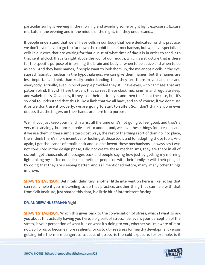particular sunlight viewing in the morning and avoiding some bright light exposure... Excuse me. Late in the evening and in the middle of the night, is if they understand...

If people understand that we all have cells in our body that were dedicated for this practice, we don't even have to go too far down the rabbit hole of mechanism, but we have specialized cells in our eyes that are waiting for that queue of what time of day it is in order to send it to that central clock that sits right above the roof of our mouth, which is a structure that is there for the specific purpose of informing the brain and body of when to be active and when to be asleep... And they have names, if people want to look them up, the melanopsin cells in the eye, suprachiasmatic nucleus in the hypothalamus, we can give them names, but the names are less important, I think than really understanding that they are there in you and me and everybody. Actually, even in blind people provided they still have eyes, who can't see, that are pattern blind, they still have the cells that can set these clock mechanisms and regulate sleep and wakefulness. Obviously, if they lose their entire eyes and then that's not the case, but it's so vital to understand that this is like a limb that we all have, and so of course, if we don't use it or we don't use it properly, we are going to start to suffer. So, I don't think anyone ever doubts that the fingers on their hands are here for a purpose.

Well, if you just keep your hand in a fist all the time or it's not going to feel good, and that's a very mild analogy, but once people start to understand, we have these things for a reason, and if we use them in these simple zero-cost ways, the rest of the things sort of domino into place, then I think there's more incentive for looking at those tools and for adopting those tools. And again, I get thousands of emails back and I didn't invent these mechanisms, I always say I was not consulted in the design phase, I did not create these mechanisms, they are there in all of us, but I get thousands of messages back and people saying how just by getting my morning light, taking my coffee outside, or sometimes people do with their family or with their pet, just by doing that they are sleeping better. And as I mentioned before, many, many other things improve.

SHAWN STEVENSON: Definitely, definitely, another little intervention here is like jet lag that can really help if you're traveling to do that practice, another thing that can help with that from Salk Institute, just shared this data, is a little bit of intermittent fasting.

#### DR. ANDREW HUBERMAN: Right.

**SHAWN STEVENSON:** Which this gives back to the conversation of stress, which I want to ask you about this actually having you here, a big part of stress, I believe is your perception of the stress, is your perception of what it is or what it's doing to you, whether you're aware of it or not. So, for us to become more resilient, for us to utilize stress for healthy development versus getting into the more dangerous aspects of stress, is the cold exposure, for example, is it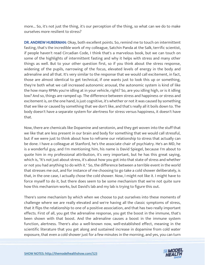more... So, it's not just the thing, it's our perception of the thing, so what can we do to make ourselves more resilient to stress?

DR. ANDREW HUBERMAN: Okay, both excellent points. So, remind me to touch on intermittent fasting, that's the incredible work of my colleague, Satchin Panda at the Salk, terrific scientist, if people haven't read Circadian Code, I think that's a marvelous book, but we can touch on some of the highlights of intermittent fasting and why it helps with stress and many other things as well. But to your other question first, so if you think about the stress response, widening of the pupils, narrowing of the focus, elevated levels of energy in the body and adrenaline and all that. It's very similar to the response that we would call excitement, in fact, those are almost identical to get technical, if one wants just to look this up or something, they're both what we call increased autonomic arousal, the autonomic system is kind of like the how many RPMs you're idling at in your vehicle, right? So, are you idling high, or is it idling low? And so, things are ramped up. The difference between stress and happiness or stress and excitement is, on the one hand, is just cognitive, it's whether or not it was caused by something that we like or caused by something that we don't like, and that's really all it boils down to. The body doesn't have a separate system for alertness for stress versus happiness, it doesn't have that.

Now, there are chemicals like Dopamine and serotonin, and they get woven into the stuff that we like that are less present in our brain and body for something that we would call stressful, but if we were just to think about how to reframe our relationship to stress that actually can be done. I have a colleague at Stanford, he's the associate chair of psychiatry. He's an MD, he is a wonderful guy, and I'm mentioning him, his name is David Spiegel, because I'm about to quote him in my professional attribution, it's very important, but he has this great saying, which is, "It's not just about stress, it's about how you got into that state of stress and whether or not you had anything to do with it." So, the difference between a terrible event in the world that stresses me out, and for instance of me choosing to go take a cold shower deliberately, is that, in the one case, I actually chose the cold shower. Now, I might not like it. I might have to force myself to do it, but there does seem to be some mechanism that we're not quite sure how this mechanism works, but David's lab and my lab is trying to figure this out.

There's some mechanism by which when we choose to put ourselves into these moments of challenge where we are really elevated and we're having all the classic symptoms of stress, that it flips the relationship to one of a positive association, and that has two really important effects. First of all, you get the adrenaline response, you get the boost in the immune, that's been shown with that boost. And the adrenaline causes a boost in the immune system function, alertness. There's also a well-known now, well-established effect, meaning in the scientific literature that you get along and sustained increase in dopamine from cold water exposure, that even a cold shower just for a few minutes in the morning, and yes, you can turn

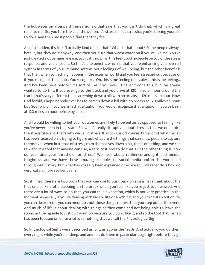the hot water on afterward there's no law that says that you can't do that, which is a great relief to me. So, you turn the cold shower on, it's stressful, it's stressful, you're forcing yourself to do it, and then most people find that they feel...

All of a sudden, it's like, "I actually kind of like that." What is that about? Some people always hate it, but they do it anyway, and then you turn that warm water on if you're like me. You've just created a dopamine release, you just thrown in this feel-good molecule on top of the stress response, and you chose it. So that's one benefit, which is that you're enhancing your overall system in terms of your immune system, your feelings of well-being, but the other benefit is that then when something happens in the external world and you feel stressed out because of it, you recognize that state. You recognize, "Oh, this is me feeling really alert, this is me feeling... And I've been here before." It's sort of like if you ever... I haven't done this, but I've always wanted to do this. If you ever go to the track and you drive at 120 miles an hour around the track, that's very different than careening down a hill with no breaks at 120 miles an hour. Now, God forbid, I hope nobody ever has to careen down a hill with no breaks at 120 miles an hour, but God forbid, if you were in that situation, you would recognize that situation if you've been at 120 miles an hour before by choice.

And I would be willing to bet your outcomes are likely to be better as opposed to feeling like you've never been in that state. So, what's really disruptive about stress is that we don't pick the stressful event, that's why we call it stress. It knocks us off course, but a lot of what my lab has been focused on is trying to figure out what are the things that can allow people to capture themselves when in a state of stress, calm themselves down a bit, that's one thing, and we can talk about a tool that anyone can use, a zero-cost tool to do that. But the other thing is, how do you raise your threshold for stress? We hear about resilience and grit and mental toughness, and we have these amazing examples on social media and in the world and throughout history, but what hasn't really been explained or explored until recently is how do we create a more resilient self?

So, if I may, there are two tools that you can use to push back on stress, let's think about the first one as kind of a stepping on the break when you feel like you're just too stressed. And there are a lot of ways to do that, you can take a vacation, which is not very practical in the moment, especially if you're dealing with kids or life or anything, and you can't step out of life, you can do exercise, you can meditate, but those things require that you step out of the event. And much of life is about dealing with things as they come and not being able to leave the room, not being able to just quit your job because you don't like it, and so the tool that my lab has been focused on quite a lot is something that we call the Physiological Sigh.

So Physiological Sighs were described as long as ago as the 1930s. And actually, you do them every night while you're in sleep, and animals do them in particular dogs right before they go

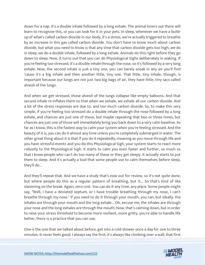down for a nap. It's a double inhale followed by a long exhale. The animal lovers out there will learn to recognize this, or you can look for it in your pets. In sleep, whenever we have a buildup of what's called carbon dioxide in our body, it's a stress, we're actually triggered to breathe by an increase in this gas called carbon dioxide. You don't have to know much about carbon dioxide, but what you need to know is that any time that carbon dioxide gets too high, we do in sleep, we do a double inhale, followed by a long exhale. Animals do this right before they go down to sleep. Now, it turns out that you can do Physiological Sighs deliberately in waking. If you're feeling too stressed, it's a double inhale through the nose, so it's followed by a very long exhale. Now, the second inhale is just a tiny one, you can barely sneak in any air you'll find 'cause it's a big inhale and then another little, tiny one. That little, tiny inhale, though, is important because our lungs are not just two big bags of air, they have little, tiny sacs called alveoli of the lungs.

And when we get stressed, those alveoli of the lungs collapse like empty balloons. And that second inhale re-inflates them so that when we exhale, we exhale all our carbon dioxide. And a lot of the stress responses are due to, and too much carbon dioxide. So, to make this very simple, if you're feeling too stressed do a double inhale through the nose followed by a long exhale, and chances are just one of those, but maybe repeating that two or three times, but chances are just one of those will immediately bring you back down to a very calm baseline. As far as I know, this is the fastest way to calm your system when you're feeling stressed. And the beauty of it is, you can do it almost any time unless you're completely submerged in water. The other great thing about it is that if you do it repeatedly, meaning as you move through life and you have stressful events and you do this Physiological Sigh, your system starts to react more robustly to the Physiological Sigh. It starts to calm you even faster and further, so much so that I know people who can't do too many of these or they get sleepy. It actually starts to put them to sleep. And it's actually a tool that some people use to calm themselves before sleep, they'll do...

And they'll repeat that. And we have a study that's now out for review, so it's not quite done, but where people do this as a regular pattern of breathing, but it... So that's kind of like slamming on the break. Again, zero cost. You can do it any time, any place. Some people might say, "Well, I have a deviated septum, or I have trouble breathing through my nose, I can't breathe through my nose." If you need to do it through your mouth, you can, but ideally, the inhales are through your mouth and the long exhale... Oh, excuse me, the inhales are through your nose and the long exhales are through the mouth. Now, that's calming down, but in order to raise your stress threshold to become more resilient, more gritty, you're able to handle life better, there is a practice that you can use.

One is the one that we talked about before, get into a cold shower once a day for one to three minutes. It never feels good. I always say the first, it's always like climbing over a wall, that first

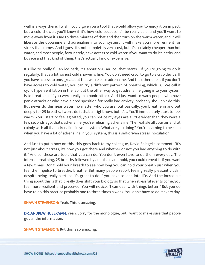wall is always there. I wish I could give you a tool that would allow you to enjoy it on impact, but a cold shower, you'll know if it's how cold because it'll be really cold, and you'll want to move away from it. One to three minutes of that and then turn on the warm water, and it will liberate the dopamine and adrenaline into your system. It will make you more resilient for stress that comes. And I guess it's not completely zero cost, but it's certainly cheaper than hot water, and most people, fortunately, have access to cold water. If you want to do ice baths, and buy ice and that kind of thing, that's actually kind of expensive.

It's like to really fill an ice bath, it's about \$50 an ice, that starts... If you're going to do it regularly, that's a lot, so just cold shower is fine. You don't need cryo, to go to a cryo device. If you have access to one, great, but that will release adrenaline. And the other one is if you don't have access to cold water, you can try a different pattern of breathing, which is... We call it cyclic hyperventilation in the lab, but the other way to get adrenaline going into your system is to breathe as if you were really in a panic attack. And I just want to warn people who have panic attacks or who have a predisposition for really bad anxiety, probably shouldn't do this. But never do this near water, no matter who you are, but basically, you breathe in and out deeply for 25 breaths, I won't do it that all right now, but it's... You'll immediately start to feel warm. You'll start to feel agitated; you can notice my eyes are a little wider than they were a few seconds ago, that's adrenaline, you're releasing adrenaline. Then exhale all your air and sit calmly with all that adrenaline in your system. What are you doing? You're learning to be calm when you have a lot of adrenaline in your system, this is a self-driven stress inoculation.

And just to put a bow on this, this goes back to my colleague, David Spiegel's comment, "It's not just about stress, it's how you got there and whether or not you had anything to do with it." And so, these are tools that you can do. You don't even have to do them every day. The intense breathing, 25 breaths followed by an exhale and hold, you could repeat it if you want a few times. Don't hold your breath to see how long you can hold your breath just when you feel the impulse to breathe, breathe. But many people report feeling really pleasantly calm despite being really alert, so it's great to do if you have to lean into life. And the incredible thing about this is that it really does shift your biology so that when stressful events come, you feel more resilient and prepared. You will notice, "I can deal with things better." But you do have to do this practice probably one to three times a week. You don't have to do it every day.

**SHAWN STEVENSON: Yeah. This is amazing.** 

DR. ANDREW HUBERMAN: Yeah. Sorry for the monologue, but I want to make sure that people got all the information.

**SHAWN STEVENSON:** But this is so amazing.

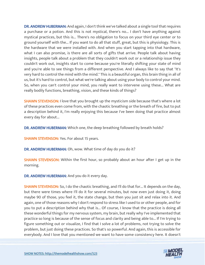DR. ANDREW HUBERMAN: And again, I don't think we've talked about a single tool that requires a purchase or a potion. And this is not mystical, there's no... I don't have anything against mystical practices, but this is... There's no obligation to focus on your third eye center or to ground yourself with the... If you want to do all that stuff, great, but this is physiology. This is the hardware that we were installed with. And when you start tapping into that hardware, what I can also promise, is there are all sorts of gifts that arrive. People talk about having insights, people talk about a problem that they couldn't work out or a relationship issue they couldn't work out, insights start to come because you're literally shifting your state of mind and you're able to see things from a different perspective. And I always like to say that "It's very hard to control the mind with the mind." This is a beautiful organ, this brain thing in all of us, but it's hard to control, but what we're talking about using your body to control your mind. So, when you can't control your mind, you really want to intervene using these... What are really bodily functions, breathing, vision, and these kinds of things?

**SHAWN STEVENSON: I** love that you brought up the mysticism side because that's where a lot of these practices even come from, with the chaotic breathing or the breath of fire, but to put a description behind it, I'm really enjoying this because I've been doing that practice almost every day for about...

DR. ANDREW HUBERMAN: Which one, the deep breathing followed by breath holds?

**SHAWN STEVENSON: Yes. For about 15 years.** 

DR. ANDREW HUBERMAN: Oh, wow. What time of day do you do it?

**SHAWN STEVENSON:** Within the first hour, so probably about an hour after I get up in the morning.

DR. ANDREW HUBERMAN: And you do it every day.

SHAWN STEVENSON: So, I do the chaotic breathing, and I'll do that for... It depends on the day, but there were times where I'll do it for several minutes, but now even just doing it, doing maybe 90 of those, you feel it, the state change, but then you just sit and relax into it. And again, one of those reasons why I don't respond to stress like I used to or other people, and for you to put a description behind why that is... Of course, I know that the practice is doing all these wonderful things for my nervous system, my brain, but really why I've implemented that practice so long is because of the sense of focus and clarity and being able to... If I'm trying to figure something out or visualize, I find that I solve a lot of problems, not trying to solve the problem, but just doing these practices. So that's so powerful. And again, this is accessible for everybody. And I love that you mentioned we want to have some consistency here. It doesn't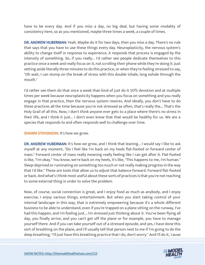have to be every day. And if you miss a day, no big deal, but having some modality of consistency here, so as you mentioned, maybe three times a week, a couple of times.

DR. ANDREW HUBERMAN: Yeah. Maybe do it for two days, then you miss a day. There's no rule that says that you have to use these things every day. Neuroplasticity, the nervous system's ability to change itself in response to experience, it responds that process is engaged by the intensity of something. So, if you really... I'd rather see people dedicate themselves to this practice once a week and really focus on it, not scrolling their phone while they're doing it. Just setting aside literally three minutes to do this practice, or when they're feeling stressed to say, "Oh wait, I can stomp on the break of stress with this double inhale, long exhale through the mouth."

I'd rather see them do that once a week than kind of just do it 50% devotion and at multiple times per week because neuroplasticity happens when you focus on something and you really engage in that practice, then the nervous system rewires. And ideally, you don't have to do these practices all the time because you're not stressed as often, that's really the... That's the Holy Grail of all this. Now, I don't think anyone ever gets to a place where there's no stress in their life, and I think it just... I don't even know that that would be healthy for us. We are a species that responds to and often responds well to challenge over time.

#### SHAWN STEVENSON: It's how we grow.

DR. ANDREW HUBERMAN: It's how we grow, and I think that leaning... I would say I like to ask myself at any moment, "Do I feel like I'm back on my heels flat-footed or forward center of mass." Forward center of mass really meaning really feeling like I can get after it. Flat-footed is like, "I'm okay." You know, we're back on my heels, it's like, "This happens to me, I'm human." Sleep-deprived or ruminating on something too much or not really making progress in the way that I'd like." These are tools that allow us to adjust that balance forward. Forward flat-footed or back. And what's I think most useful about these sorts of practices is that you're not reaching to some external thing in order to solve the problem.

Now, of course, social connection is great, and I enjoy food as much as anybody, and I enjoy exercise, I enjoy various things, entertainment. But when you start taking control of your internal landscape in this way, that is extremely empowering because it's a whole different business to be able to understand, even if you're trapped on a plane sitting on the runway, I've had this happen, and I'm feeling just... I'm stressed just thinking about it. You've been flying all day, you finally arrive, and you can't get off the plane or for example, you have to manage yourself there. And if you can take yourself out of a stressed episode, and yes, I have done this sort of breathing on the plane, and I'll usually tell that person next to me if I'm going to do the deep breathing, "I'll just have this breathing practice that I do, don't worry." And I'll do it, 'cause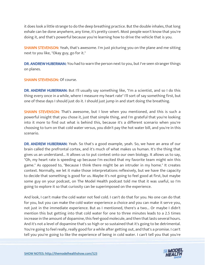it does look a little strange to do the deep breathing practice. But the double inhales, that long exhale can be done anywhere, any time, it's pretty covert. Most people won't know that you're doing it, and that's powerful because you're learning how to drive the vehicle that is you.

**SHAWN STEVENSON:** Yeah, that's awesome. I'm just picturing you on the plane and me sitting next to you like, "Okay guy, go for it."

DR. ANDREW HUBERMAN: You had to warn the person next to you, but I've seen stranger things on planes.

#### SHAWN STEVENSON: Of course.

DR. ANDREW HUBERMAN: But I'll usually say something like, "I'm a scientist, and so I do this thing every once in a while, where I measure my heart rate" I'll sort of say something first, but one of these days I should just do it. I should just jump in and start doing the breathing.

**SHAWN STEVENSON:** That's awesome, but I love when you mentioned, and this is such a powerful insight that you chose it, just that simple thing, and I'm grateful that you're looking into it more to find out what is behind this, because it's a different scenario when you're choosing to turn on that cold water versus, you didn't pay the hot water bill, and you're in this scenario.

DR. ANDREW HUBERMAN: Yeah. So that's a good example, yeah. So, we have an area of our brain called the prefrontal cortex, and it's much of what makes us human. It's the thing that gives us an understand... It allows us to put context onto our own biology. It allows us to say, "Oh, my heart rate is speeding up because I'm excited that my favorite team might win this game." As opposed to, "Because I think there might be an intruder in my home." It creates context. Normally, we let it make those interpretations reflexively, but we have the capacity to decide that something is good for us. Maybe it's not going to feel good at first, but maybe some guy on your podcast, on The Model Health podcast told me that it was useful, so I'm going to explore it so that curiosity can be superimposed on the experience.

And look, I can't make the cold water not feel cold. I can't do that for you. No one can do that for you, but you can make the cold water experience a choice and you can make it serve you, not just in the immediate experience. But as I mentioned, there's a two... Or maybe I didn't mention this but getting into that cold water for one to three minutes leads to a 2.5 times increase in the amount of dopamine, this feel-good molecule, and then that lasts several hours. And it's not a level of dopamine that's so high or so sustained that it's going to be detrimental. You're going to feel really, really good for a while after getting out, and that's a promise. I can't tell you you're going to like the experience of being in cold water. I can't tell you that you're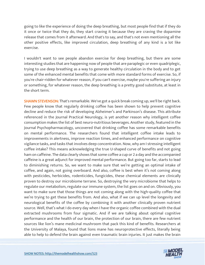going to like the experience of doing the deep breathing, but most people find that if they do it once or twice that they do, they start craving it because they are craving the dopamine release that comes from it afterward. And that's to say, and that's not even mentioning all the other positive effects, like improved circulation, deep breathing of any kind is a lot like exercise.

I wouldn't want to see people abandon exercise for deep breathing, but there are some interesting studies that are happening now of people that are paraplegic or even quadriplegic, trying to use deep breathing as a way to generate healthy circulation in the body and to get some of the enhanced mental benefits that come with more standard forms of exercise. So, if you're chair-ridden for whatever reason, if you can't exercise, maybe you're suffering an injury or something, for whatever reason, the deep breathing is a pretty good substitute, at least in the short term.

**SHAWN STEVENSON:** That's remarkable. We've got a quick break coming up, we'll be right back. Few people know that regularly drinking coffee has been shown to help prevent cognitive decline and reduce the risk of developing Alzheimer's and Parkinson's disease. This attribute referenced in the Journal Practical Neurology, is yet another reason why intelligent coffee consumption makes the list of best neuro-nutritious beverages. Another study, featured in the Journal Psychopharmacology, uncovered that drinking coffee has some remarkable benefits on mental performance. The researchers found that intelligent coffee intake leads to improvements in alertness, improve reaction times, and enhanced performance on cognitive vigilance tasks, and tasks that involves deep concentration. Now, why am I stressing intelligent coffee intake? This means acknowledging the true U-shaped curve of benefits and not going ham on caffeine. The data clearly shows that some coffee a cup or 2 a day and the accompanied caffeine is a great adjunct for improved mental performance. But going too far, starts to lead to diminishing returns. So, we want to make sure that we're getting an optimal intake of coffee, and again, not going overboard. And also, coffee is best when it's not coming along with pesticides, herbicides, rodenticides, fungicides, these chemical elements are clinically proven to destroy our microbiome terrane. So, destroying the very microbiome that helps to regulate our metabolism, regulate our immune system, the list goes on and on. Obviously, you want to make sure that those things are not coming along with the high-quality coffee that we're trying to get these benefits from. And also, what if we can up level the longevity and neurological benefits of the coffee by combining it with another clinically proven nutrient source. Well, that's what I do every day when I have the organic coffee combined with the dual extracted mushrooms from four sigmatic. And if we are talking about optimal cognitive performance and the health of our brain, the protection of our brain, there are few nutrient sources like lion's mane medicinal mushroom that pack this kind of benefits. Researchers at the University of Malaya, found that lions mane has neuroprotective effects, literally being able to help to defend the brain against even traumatic brain injuries. It just makes the brain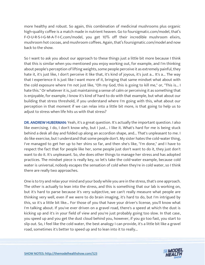more healthy and robust. So again, this combination of medicinal mushrooms plus organic high-quality coffee is a match made in nutrient heaven. Go to foursigmatic.com/model, that's F-O-U-R-S-I-G-M-A-T-I-C.com/model, you get 10% off their incredible mushroom elixirs, mushroom hot cocoas, and mushroom coffees. Again, that's foursigmatic.com/model and now back to the show.

So I want to ask you about our approach to these things just a little bit more because I think that this is similar when you mentioned you enjoy working out, for example, and I'm thinking about people's perception of lifting weights, some people perceive it as extremely painful, they hate it, it's just like, I don't perceive it like that, it's kind of joyous, it's just a... It's a... The way that I experience it is just like I want more of it, bringing that same mindset what about with the cold exposure where I'm not just like, "Oh my God, this is going to kill me," or, "This is... I hate this." Or whatever it is, just maintaining a sense of calm or perceiving it as something that is enjoyable, for example, I know it's kind of hard to do with that example, but what about our building that stress threshold, if you understand where I'm going with this, what about our perception in that moment if we can relax into a little bit more, is that going to help us to adjust to stress when life hits us with that stress?

DR. ANDREW HUBERMAN: Yeah, it's a great question. It's actually the important question. I also like exercising. I do, I don't know why, but I just... I like it. What's hard for me is being stuck behind a desk all day and folded up along an accordion shape, and... That's unpleasant to me. I do like exercise, but I understand that some people don't. My sister hates the cold-water thing, I've managed to get her up to her shins so far, and then she's like, "I'm done," and I have to respect the fact that for people like her, some people just don't want to do it, they just don't want to do it. It's unpleasant. So, she does other things to manage her stress and has adopted practices. The mindset piece is really key, so let's take the cold-water example, because cold water is universal, nobody escapes the sensation of cold when they're in cold water, so I think there are really two approaches.

One is to try and relax your mind and your body while you are in the stress, that's one approach. The other is actually to lean into the stress, and this is something that our lab is working on, but it's hard to parse because it's very subjective, we can't really measure what people are thinking very well, even if we were to do brain imaging, it's hard to do, but I'm intrigued by this, so it's a little bit like... For those of you that have your driver's license, you'll know what I'm talking about. If you've ever driven on a gravel road, there's a speed at which the dust is kicking up and it's in your field of view and you're just probably going too slow. In that case, you speed up and you get the dust cloud behind you, however, if you go too fast, you start to slip out. So, I feel like the cold water, the best analogy I can provide, it's a little bit like a gravel road, sometimes it's better to speed up and to lean into it to really...

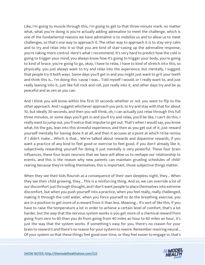Like, I'm going to muscle through this, I'm going to get to that three-minute mark, no matter what, what you're doing is you're actually adding adrenaline to meet the challenge, which is one of the fundamental reasons we have adrenaline is to mobilize us and to allow us to meet challenges, so that's one way to approach it. The other way to approach it is to stay very calm and to try and relax into it so that you are kind of stair-casing up the adrenaline response, you're taking more control. Here's what I recommend. It's very hard to predict how the cold is going to trigger your mind, you always know how it's going to trigger your body, you're going to kind of brace, you're going to go, okay, I have to relax, I have to kind of stretch into this, so physically, you just always want to try and relax into the experience, but mentally, I suggest that people try it both ways. Some days you'll get in and you might just want to grit your teeth and think this is... I'm doing this 'cause I was... Told myself I would, or I really want to, and just really leaning into it, just like full rock and roll, just really into it, and other days try and be as peaceful and as zen as you can.

And I think you will know within the first 10 seconds whether or not you want to flip to the other approach. And I suggest whichever approach you pick, to try and stay with that for about 10, but ideally 30 seconds, and then you will think, oh, I can actually just relax through this full three minutes, or some days you'll get in and you'll try and relax, you'll be like, I can't do this, I really want to jump out, you'll notice that impulse to get out. That's when I would say, you know what, hit the gas, lean into this stressful experience, and then as you get out of it, just reward yourself mentally for having done it at all, and then it accuses at a point at which I'd be remiss if I didn't make... Which is that... We've talked about rewards and dopamine rewards, if you want a practice of any kind to feel good or exercise to feel good, if you don't already like it, subjectively rewarding yourself for doing it just mentally is very powerful. These four brain influences, these four brain neurons that we have will allow us to reshape our relationship to events, and this is the reason why new parents can maintain grueling schedules of childrearing because they're telling themselves, this is important, those subjective things matter.

When they see their kids flourish as a consequence of their own sleepless night, they... When they see their child growing, they... This is a reinforcing thing. And so, we can override a lot of our discomfort just through thought, and I don't want people to place themselves into extreme discomfort, but when you push yourself into a practice, when you feel really, really challenged, making it through the cold water, when you force yourself to do the breathing exercise, you are in a position to get more of a reward from it than less. Meaning... It's sort of like this, if you have to raise the temperature a lot in order to achieve a certain level of comfort, that's a lot harder, but the way that the nervous system works is you get more of a chemical reward from going from zero to 60 than you do from going from 40 miles an hour to 60 miles an hour, it's just the way that the system works. If something's easy for you, there's no reason for your brain to reward it and there's no reason for your system to rewire. Remember rewiring neural... Of your system so that these things feel good over time, or they feel easier to engage in, that's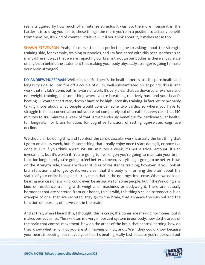really triggered by how much of an intense stimulus it was. So, the more intense it is, the harder it is to drag yourself to these things, the more you're in a position to actually benefit from them. So, it's kind of counter-intuitive. But if you think about it, it makes sense too.

**SHAWN STEVENSON:** Yeah, of course, this is a perfect segue to asking about the strength training side, for example, training our bodies, and I'm fascinated with this because there's so many different ways that we are impacting our brains through our bodies, is there any science or any truth behind the statement that making your body physically stronger is going to make your brain stronger?

DR. ANDREW HUBERMAN: Well, let's see. So, there's the health, there's just the pure health and longevity side, so I can fire off a couple of quick, well-substantiated bullet points, this is isn't work that my lab's done, but I'm aware of work. It's very clear that cardiovascular exercise and not weight training, but something where you're breathing relatively hard and your heart's beating... Elevated heart rate, doesn't have to be high-intensity training, in fact, we're probably talking more about what people would consider zone two cardio, so where you have to struggle to hold a conversation but you're not completely out of breath, it's very clear that 150 minutes to 180 minutes a week of that is tremendously beneficial for cardiovascular health, for longevity, for brain function, for cognitive function, offsetting age-related cognitive decline.

We should all be doing this, and I confess the cardiovascular work is usually the last thing that I go to on a busy week, but it's something that I really enjoy once I start doing it, or once I've done it. But if you think about 150-180 minutes a week, it's not a trivial amount, it's an investment, but it's worth it. You're going to live longer; you're going to maintain your brain function longer and you're going to feel better... I mean, everything is going to be better. Now, on the strength side, there are fewer studies of resistance training; however, if you look at brain function and longevity, it's very clear that the body is informing the brain about the status of your entire being, and I truly mean that in the non-mystical sense. When we do loadbearing exercise of any kind, could even be air squats for some people, but if they're doing any kind of resistance training with weights or machines or bodyweight, there are actually hormones that are secreted from our bones, this is wild, this thing's called osteonectin is an example of one, that are secreted, they go to the brain, that enhance the survival and the function of neurons, of nerve cells in the brain.

And at first, when I heard this, I thought, this is crazy, the bones are making hormones, but it makes perfect sense. The skeleton is a very important system in our body, how do the areas of the brain that control movement, how do the areas of the brain that control learning, how do they know whether or not you are still moving or not, and... Well, they could know because your heart is beating, but maybe your heart's beating really fast because you're stressed out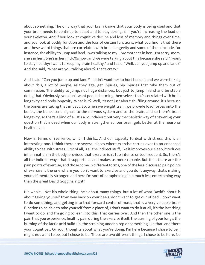about something. The only way that your brain knows that your body is being used and that your brain needs to continue to adapt and to stay strong, is if you're increasing the load on your skeleton. And if you look at cognitive decline and loss of memory and things over time, and you look at bodily function and the loss of certain functions, what you find is that there are these weird things that are correlated with brain longevity and some of them include, for instance, the ability to jump and land. I was talking to my... My mother's in her... I'm sorry, mom, she's in her... She's in her mid-70s now, and we were talking about this because she said, "I want to stay healthy; I want to keep my brain healthy," and I said, "Well, can you jump up and land?" And she said, "What are you talking about? That's crazy."

And I said, "Can you jump up and land?" I didn't want her to hurt herself, and we were talking about this, a lot of people, as they age, get injuries, hip injuries that take them out of commission. The ability to jump, not huge distances, but just to jump inland and be stable doing that. Obviously, you don't want people harming themselves, that's correlated with brain longevity and body longevity. What is it? Well, it's not just about shuffling around, it's because the bones are taking that impact. So, when we weight train, we provide load forces onto the bones, the bones send signals to the nervous system and to the brain, and so there's brain longevity, so that's a kind of a... It's a roundabout but very mechanistic way of answering your question that indeed when our body is strengthened, our brain gets better at the neuronal health level.

Now in terms of resilience, which I think... And our capacity to deal with stress, this is an interesting one. I think there are several places where exercise carries over to an enhanced ability to deal with stress. First of all, is all the indirect stuff, like it improves our sleep, it reduces inflammation in the body, provided that exercise isn't too intense or too frequent. So, there's all the indirect ways that it supports us and makes us more capable. But then there are the pain points of exercise, and those come in different forms, one of the less-discussed pain points of exercise is the one where you don't want to exercise and you do it anyway, that's making yourself mentally stronger, and here I'm sort of paraphrasing in a much less entertaining way than the great David Goggins, right?

His whole... Not his whole thing, he's about many things, but a lot of what David's about is about taking yourself from way back on your heels, don't want to get out of bed, I don't want to do something, and getting into that forward center of mass, that is a very valuable brain function to be able to take yourself from a place of, I don't want to do it at all, it's the last thing I want to do, and I'm going to lean into this. That carries over. And then the other one is the pain that you experience, healthy pain during the exercise itself, the burning of your lungs, the burning of the lactic acid build-up, the straining under a rep or something like that, and there your cognitive... Or your thoughts about what you're doing, I'm here because I chose to be. I might not want to be, but I chose to be. Those are two different things. I chose to be here. No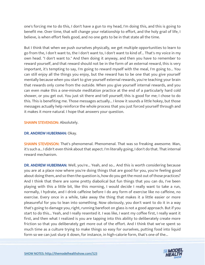one's forcing me to do this, I don't have a gun to my head, I'm doing this, and this is going to benefit me. Over time, that will change your relationship to effort, and the holy grail of life, I believe, is when effort feels good, and no one gets to be in that state all the time.

But I think that when we push ourselves physically, we get multiple opportunities to learn to go from the, I don't want to, the I don't want to, I don't want to kind of... That's my voice in my own head. "I don't want to." And then doing it anyway, and then you have to remember to reward yourself, and that reward should not be in the form of an external reward, this is very important, it's tempting to say, I'm going to reward myself with the meal, I'm going to... You can still enjoy all the things you enjoy, but the reward has to be one that you give yourself mentally because when you start to give yourself external rewards, you're teaching your brain that rewards only come from the outside. When you give yourself internal rewards, and you can even make this a one-minute meditation practice at the end of a particularly hard cold shower, or you get out. You just sit there and tell yourself; this is good for me; I chose to do this. This is benefiting me. Those messages actually... I know it sounds a little hokey, but those messages actually help reinforce the whole process that you just forced yourself through and it makes it more natural. I hope that answers your question.

#### SHAWN STEVENSON: Absolutely.

#### DR. ANDREW HUBERMAN: Okay.

SHAWN STEVENSON: That's phenomenal. Phenomenal. That was so freaking awesome. Man, it's such a... I didn't even think about that aspect. I'm literally going, I don't do that. That internal reward mechanism.

DR. ANDREW HUBERMAN: Well, you're... Yeah, and so... And this is worth considering because you are at a place now where you're doing things that are good for you, you're feeling good about doing them, and so then the question is, how do you get the most out of those practices? And I think that there are some pretty diabolical but fun things that you can do, I've been playing with this a little bit, like this morning, I would decide I really want to take a run, normally, I hydrate, and I drink caffeine before I do any form of exercise like no caffeine, no exercise. Every once in a while, take away the thing that makes it a little easier or more pleasureful for you to lean into something. Now obviously, you don't want to do it in a way that's going to damage you, right, running barefoot on glass is not a good approach. But if you start to do this... Yeah, and I really resented it. I was like, I want my coffee first, I really want it first, and then what I realized is you are tapping into this ability to deliberately create more friction so that you deliberately get more out of the effort. And I think that we've spent so much time as a culture trying to make things so easy for ourselves, putting food into liquid form so we can just slurp it down, for instance, in high-calorie form, that's one of the...